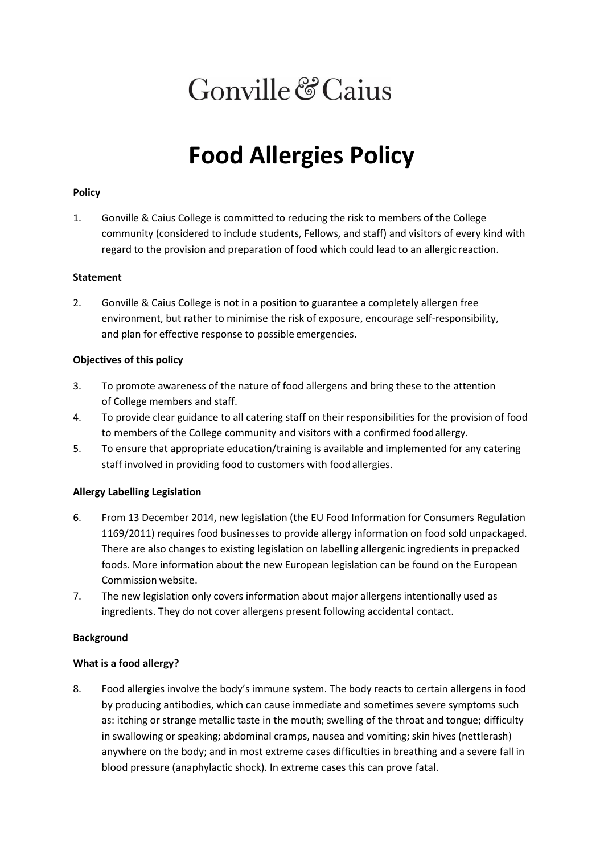# Gonville & Caius

# **Food Allergies Policy**

## **Policy**

1. Gonville & Caius College is committed to reducing the risk to members of the College community (considered to include students, Fellows, and staff) and visitors of every kind with regard to the provision and preparation of food which could lead to an allergic reaction.

### **Statement**

2. Gonville & Caius College is not in a position to guarantee a completely allergen free environment, but rather to minimise the risk of exposure, encourage self-responsibility, and plan for effective response to possible emergencies.

### **Objectives of this policy**

- 3. To promote awareness of the nature of food allergens and bring these to the attention of College members and staff.
- 4. To provide clear guidance to all catering staff on their responsibilities for the provision of food to members of the College community and visitors with a confirmed foodallergy.
- 5. To ensure that appropriate education/training is available and implemented for any catering staff involved in providing food to customers with foodallergies.

# **Allergy Labelling Legislation**

- 6. From 13 December 2014, new legislation (the EU Food Information for Consumers Regulation 1169/2011) requires food businesses to provide allergy information on food sold unpackaged. There are also changes to existing legislation on labelling allergenic ingredients in prepacked foods. More information about the new European legislation can be found on the European Commission website.
- 7. The new legislation only covers information about major allergens intentionally used as ingredients. They do not cover allergens present following accidental contact.

#### **Background**

#### **What is a food allergy?**

8. Food allergies involve the body's immune system. The body reacts to certain allergens in food by producing antibodies, which can cause immediate and sometimes severe symptoms such as: itching or strange metallic taste in the mouth; swelling of the throat and tongue; difficulty in swallowing or speaking; abdominal cramps, nausea and vomiting; skin hives (nettlerash) anywhere on the body; and in most extreme cases difficulties in breathing and a severe fall in blood pressure (anaphylactic shock). In extreme cases this can prove fatal.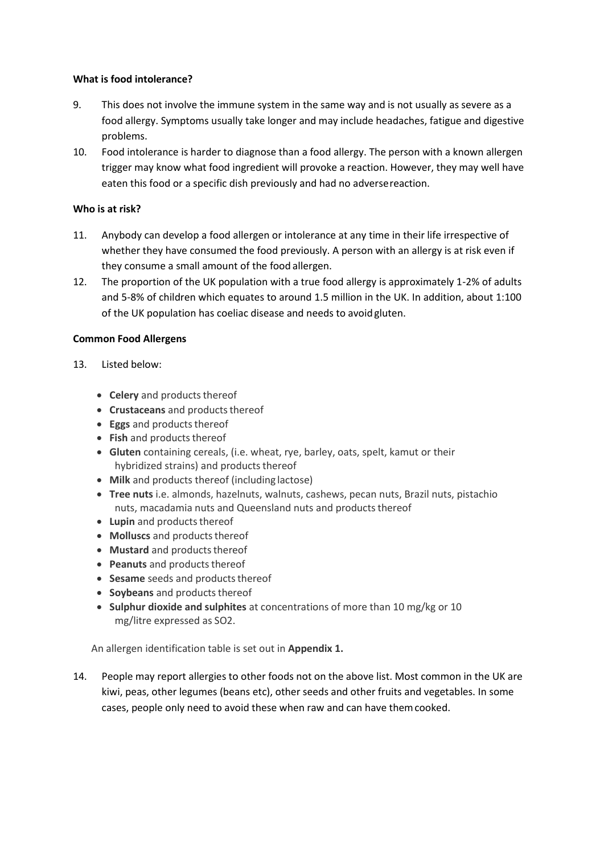## **What is food intolerance?**

- 9. This does not involve the immune system in the same way and is not usually as severe as a food allergy. Symptoms usually take longer and may include headaches, fatigue and digestive problems.
- 10. Food intolerance is harder to diagnose than a food allergy. The person with a known allergen trigger may know what food ingredient will provoke a reaction. However, they may well have eaten this food or a specific dish previously and had no adversereaction.

## **Who is at risk?**

- 11. Anybody can develop a food allergen or intolerance at any time in their life irrespective of whether they have consumed the food previously. A person with an allergy is at risk even if they consume a small amount of the food allergen.
- 12. The proportion of the UK population with a true food allergy is approximately 1-2% of adults and 5-8% of children which equates to around 1.5 million in the UK. In addition, about 1:100 of the UK population has coeliac disease and needs to avoidgluten.

### **Common Food Allergens**

- 13. Listed below:
	- **Celery** and products thereof
	- Crustaceans and products thereof
	- **Eggs** and products thereof
	- Fish and products thereof
	- **Gluten** containing cereals, (i.e. wheat, rye, barley, oats, spelt, kamut or their hybridized strains) and products thereof
	- **Milk** and products thereof (including lactose)
	- **Tree nuts** i.e. almonds, hazelnuts, walnuts, cashews, pecan nuts, Brazil nuts, pistachio nuts, macadamia nuts and Queensland nuts and products thereof
	- Lupin and products thereof
	- **Molluscs** and products thereof
	- Mustard and products thereof
	- **Peanuts** and products thereof
	- **Sesame** seeds and products thereof
	- **Soybeans** and products thereof
	- **Sulphur dioxide and sulphites** at concentrations of more than 10 mg/kg or 10 mg/litre expressed as SO2.

An allergen identification table is set out in **Appendix 1.**

14. People may report allergies to other foods not on the above list. Most common in the UK are kiwi, peas, other legumes (beans etc), other seeds and other fruits and vegetables. In some cases, people only need to avoid these when raw and can have themcooked.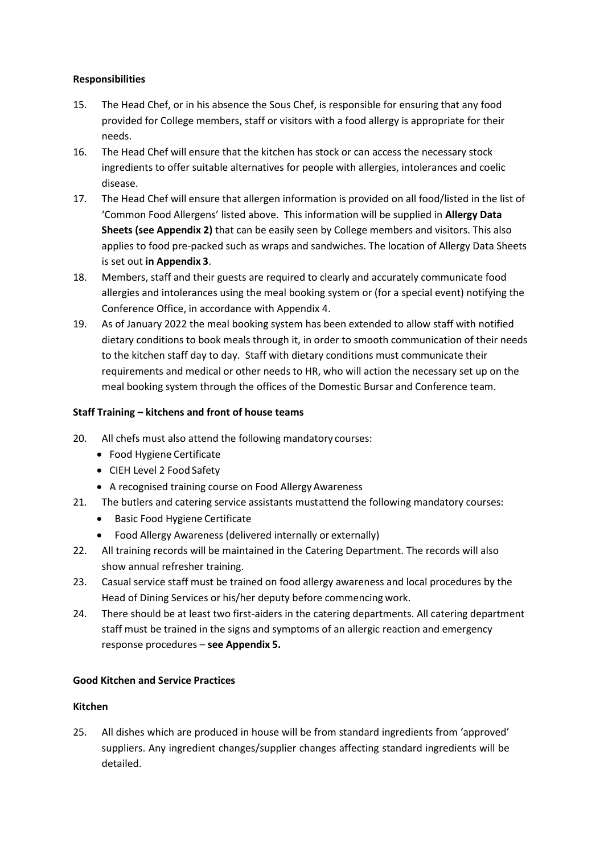# **Responsibilities**

- 15. The Head Chef, or in his absence the Sous Chef, is responsible for ensuring that any food provided for College members, staff or visitors with a food allergy is appropriate for their needs.
- 16. The Head Chef will ensure that the kitchen has stock or can access the necessary stock ingredients to offer suitable alternatives for people with allergies, intolerances and coelic disease.
- 17. The Head Chef will ensure that allergen information is provided on all food/listed in the list of 'Common Food Allergens' listed above. This information will be supplied in **Allergy Data Sheets (see Appendix 2)** that can be easily seen by College members and visitors. This also applies to food pre-packed such as wraps and sandwiches. The location of Allergy Data Sheets is set out **in Appendix 3**.
- 18. Members, staff and their guests are required to clearly and accurately communicate food allergies and intolerances using the meal booking system or (for a special event) notifying the Conference Office, in accordance with Appendix 4.
- 19. As of January 2022 the meal booking system has been extended to allow staff with notified dietary conditions to book meals through it, in order to smooth communication of their needs to the kitchen staff day to day. Staff with dietary conditions must communicate their requirements and medical or other needs to HR, who will action the necessary set up on the meal booking system through the offices of the Domestic Bursar and Conference team.

### **Staff Training – kitchens and front of house teams**

- 20. All chefs must also attend the following mandatory courses:
	- Food Hygiene Certificate
	- CIEH Level 2 Food Safety
	- A recognised training course on Food AllergyAwareness
- 21. The butlers and catering service assistants mustattend the following mandatory courses:
	- Basic Food Hygiene Certificate
	- Food Allergy Awareness (delivered internally or externally)
- 22. All training records will be maintained in the Catering Department. The records will also show annual refresher training.
- 23. Casual service staff must be trained on food allergy awareness and local procedures by the Head of Dining Services or his/her deputy before commencing work.
- 24. There should be at least two first-aiders in the catering departments. All catering department staff must be trained in the signs and symptoms of an allergic reaction and emergency response procedures – **see Appendix 5.**

#### **Good Kitchen and Service Practices**

## **Kitchen**

25. All dishes which are produced in house will be from standard ingredients from 'approved' suppliers. Any ingredient changes/supplier changes affecting standard ingredients will be detailed.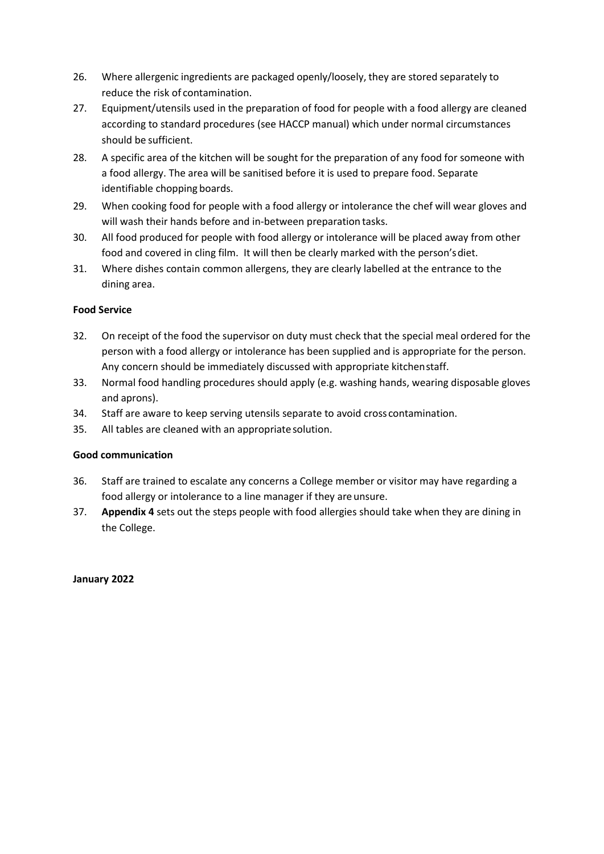- 26. Where allergenic ingredients are packaged openly/loosely, they are stored separately to reduce the risk of contamination.
- 27. Equipment/utensils used in the preparation of food for people with a food allergy are cleaned according to standard procedures (see HACCP manual) which under normal circumstances should be sufficient.
- 28. A specific area of the kitchen will be sought for the preparation of any food for someone with a food allergy. The area will be sanitised before it is used to prepare food. Separate identifiable chopping boards.
- 29. When cooking food for people with a food allergy or intolerance the chef will wear gloves and will wash their hands before and in-between preparation tasks.
- 30. All food produced for people with food allergy or intolerance will be placed away from other food and covered in cling film. It will then be clearly marked with the person'sdiet.
- 31. Where dishes contain common allergens, they are clearly labelled at the entrance to the dining area.

# **Food Service**

- 32. On receipt of the food the supervisor on duty must check that the special meal ordered for the person with a food allergy or intolerance has been supplied and is appropriate for the person. Any concern should be immediately discussed with appropriate kitchenstaff.
- 33. Normal food handling procedures should apply (e.g. washing hands, wearing disposable gloves and aprons).
- 34. Staff are aware to keep serving utensils separate to avoid cross contamination.
- 35. All tables are cleaned with an appropriate solution.

# **Good communication**

- 36. Staff are trained to escalate any concerns a College member or visitor may have regarding a food allergy or intolerance to a line manager if they are unsure.
- 37. **Appendix 4** sets out the steps people with food allergies should take when they are dining in the College.

# **January 2022**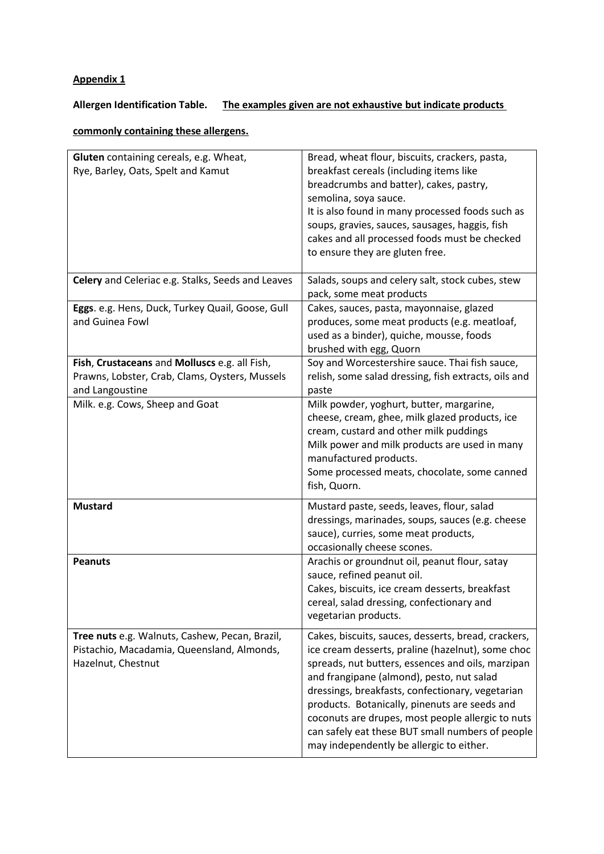# **Allergen Identification Table. The examples given are not exhaustive but indicate products**

# **commonly containing these allergens.**

| Gluten containing cereals, e.g. Wheat,<br>Rye, Barley, Oats, Spelt and Kamut                                       | Bread, wheat flour, biscuits, crackers, pasta,<br>breakfast cereals (including items like<br>breadcrumbs and batter), cakes, pastry,<br>semolina, soya sauce.<br>It is also found in many processed foods such as<br>soups, gravies, sauces, sausages, haggis, fish<br>cakes and all processed foods must be checked<br>to ensure they are gluten free.                                                                                                              |
|--------------------------------------------------------------------------------------------------------------------|----------------------------------------------------------------------------------------------------------------------------------------------------------------------------------------------------------------------------------------------------------------------------------------------------------------------------------------------------------------------------------------------------------------------------------------------------------------------|
| Celery and Celeriac e.g. Stalks, Seeds and Leaves                                                                  | Salads, soups and celery salt, stock cubes, stew<br>pack, some meat products                                                                                                                                                                                                                                                                                                                                                                                         |
| Eggs. e.g. Hens, Duck, Turkey Quail, Goose, Gull<br>and Guinea Fowl                                                | Cakes, sauces, pasta, mayonnaise, glazed<br>produces, some meat products (e.g. meatloaf,<br>used as a binder), quiche, mousse, foods<br>brushed with egg, Quorn                                                                                                                                                                                                                                                                                                      |
| Fish, Crustaceans and Molluscs e.g. all Fish,<br>Prawns, Lobster, Crab, Clams, Oysters, Mussels<br>and Langoustine | Soy and Worcestershire sauce. Thai fish sauce,<br>relish, some salad dressing, fish extracts, oils and<br>paste                                                                                                                                                                                                                                                                                                                                                      |
| Milk. e.g. Cows, Sheep and Goat                                                                                    | Milk powder, yoghurt, butter, margarine,<br>cheese, cream, ghee, milk glazed products, ice<br>cream, custard and other milk puddings<br>Milk power and milk products are used in many<br>manufactured products.<br>Some processed meats, chocolate, some canned<br>fish, Quorn.                                                                                                                                                                                      |
| <b>Mustard</b>                                                                                                     | Mustard paste, seeds, leaves, flour, salad<br>dressings, marinades, soups, sauces (e.g. cheese<br>sauce), curries, some meat products,<br>occasionally cheese scones.                                                                                                                                                                                                                                                                                                |
| <b>Peanuts</b>                                                                                                     | Arachis or groundnut oil, peanut flour, satay<br>sauce, refined peanut oil.<br>Cakes, biscuits, ice cream desserts, breakfast<br>cereal, salad dressing, confectionary and<br>vegetarian products.                                                                                                                                                                                                                                                                   |
| Tree nuts e.g. Walnuts, Cashew, Pecan, Brazil,<br>Pistachio, Macadamia, Queensland, Almonds,<br>Hazelnut, Chestnut | Cakes, biscuits, sauces, desserts, bread, crackers,<br>ice cream desserts, praline (hazelnut), some choc<br>spreads, nut butters, essences and oils, marzipan<br>and frangipane (almond), pesto, nut salad<br>dressings, breakfasts, confectionary, vegetarian<br>products. Botanically, pinenuts are seeds and<br>coconuts are drupes, most people allergic to nuts<br>can safely eat these BUT small numbers of people<br>may independently be allergic to either. |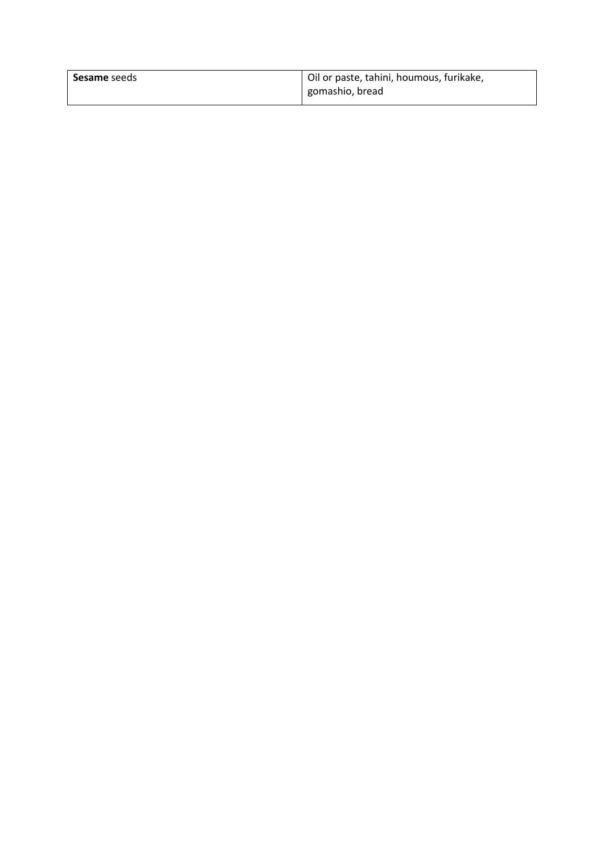| <b>Sesame</b> seeds | Oil or paste, tahini, houmous, furikake, |  |  |  |  |
|---------------------|------------------------------------------|--|--|--|--|
|                     | gomashio, bread                          |  |  |  |  |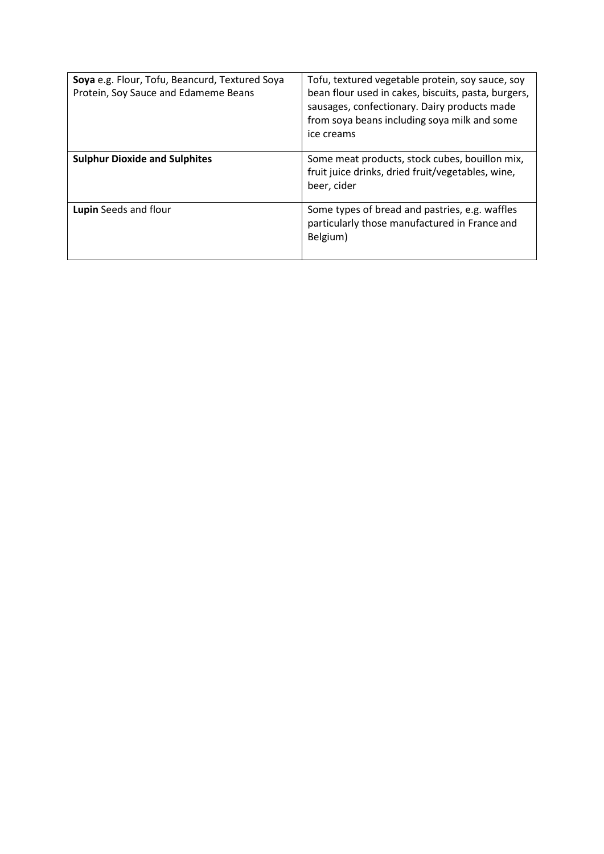| Soya e.g. Flour, Tofu, Beancurd, Textured Soya<br>Protein, Soy Sauce and Edameme Beans | Tofu, textured vegetable protein, soy sauce, soy<br>bean flour used in cakes, biscuits, pasta, burgers,<br>sausages, confectionary. Dairy products made<br>from soya beans including soya milk and some<br>ice creams |
|----------------------------------------------------------------------------------------|-----------------------------------------------------------------------------------------------------------------------------------------------------------------------------------------------------------------------|
| <b>Sulphur Dioxide and Sulphites</b>                                                   | Some meat products, stock cubes, bouillon mix,<br>fruit juice drinks, dried fruit/vegetables, wine,<br>beer, cider                                                                                                    |
| Lupin Seeds and flour                                                                  | Some types of bread and pastries, e.g. waffles<br>particularly those manufactured in France and<br>Belgium)                                                                                                           |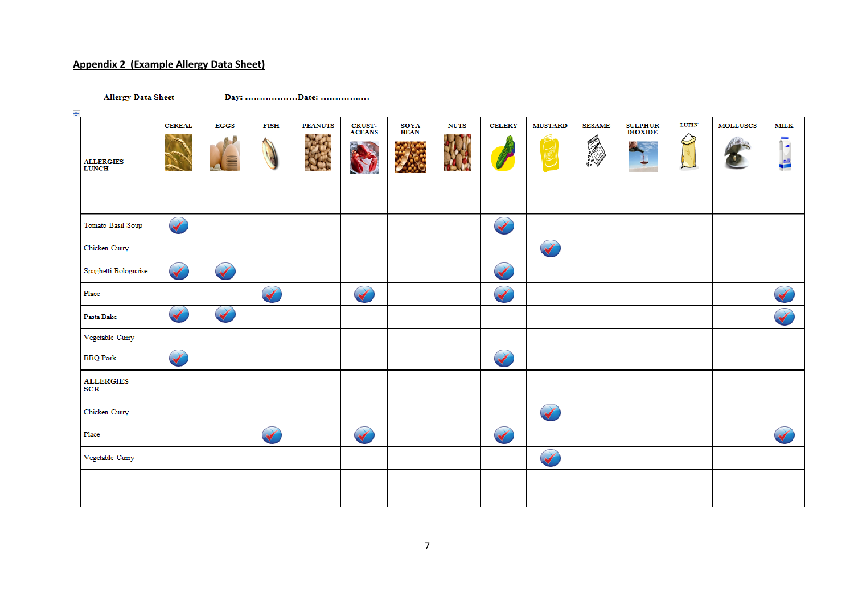# **Appendix 2 (Example Allergy Data Sheet)**

**Allergy Data Sheet** 

Day: ...................Date: ..................

| $\ddot{\mathrm{+}}$              |                      |                      |                 |                |                               |                            |             |                      |                      |                    |                            |       |                 |                       |
|----------------------------------|----------------------|----------------------|-----------------|----------------|-------------------------------|----------------------------|-------------|----------------------|----------------------|--------------------|----------------------------|-------|-----------------|-----------------------|
| <b>ALLERGIES</b><br><b>LUNCH</b> | <b>CEREAL</b>        | <b>EGGS</b><br>III   | <b>FISH</b>     | <b>PEANUTS</b> | <b>CRUST-</b><br>ACEANS<br>V. | <b>SOYA</b><br><b>BEAN</b> | <b>NUTS</b> | <b>CELERY</b>        | <b>MUSTARD</b>       | <b>SESAME</b><br>Ó | <b>SULPHUR<br/>DIOXIDE</b> | LUPIN | <b>MOLLUSCS</b> | <b>MILK</b><br>٠<br>疆 |
| Tomato Basil Soup                | $\blacktriangledown$ |                      |                 |                |                               |                            |             | $\blacktriangledown$ |                      |                    |                            |       |                 |                       |
| Chicken Curry                    |                      |                      |                 |                |                               |                            |             |                      | $\blacktriangledown$ |                    |                            |       |                 |                       |
| Spaghetti Bolognaise             | $\blacktriangledown$ | $\blacktriangledown$ |                 |                |                               |                            |             | $\blacktriangledown$ |                      |                    |                            |       |                 |                       |
| Place                            |                      |                      |                 |                | $\blacktriangledown$          |                            |             | $\blacktriangledown$ |                      |                    |                            |       |                 |                       |
| Pasta Bake                       | $\blacktriangledown$ | $\blacktriangledown$ |                 |                |                               |                            |             |                      |                      |                    |                            |       |                 | $\blacktriangledown$  |
| Vegetable Curry                  |                      |                      |                 |                |                               |                            |             |                      |                      |                    |                            |       |                 |                       |
| <b>BBQ</b> Pork                  |                      |                      |                 |                |                               |                            |             | $\blacktriangledown$ |                      |                    |                            |       |                 |                       |
| <b>ALLERGIES</b><br>SCR          |                      |                      |                 |                |                               |                            |             |                      |                      |                    |                            |       |                 |                       |
| Chicken Curry                    |                      |                      |                 |                |                               |                            |             |                      | $\blacktriangledown$ |                    |                            |       |                 |                       |
| Place                            |                      |                      | $\blacklozenge$ |                |                               |                            |             |                      |                      |                    |                            |       |                 | $\blacktriangledown$  |
| Vegetable Curry                  |                      |                      |                 |                |                               |                            |             |                      | $\blacktriangledown$ |                    |                            |       |                 |                       |
|                                  |                      |                      |                 |                |                               |                            |             |                      |                      |                    |                            |       |                 |                       |
|                                  |                      |                      |                 |                |                               |                            |             |                      |                      |                    |                            |       |                 |                       |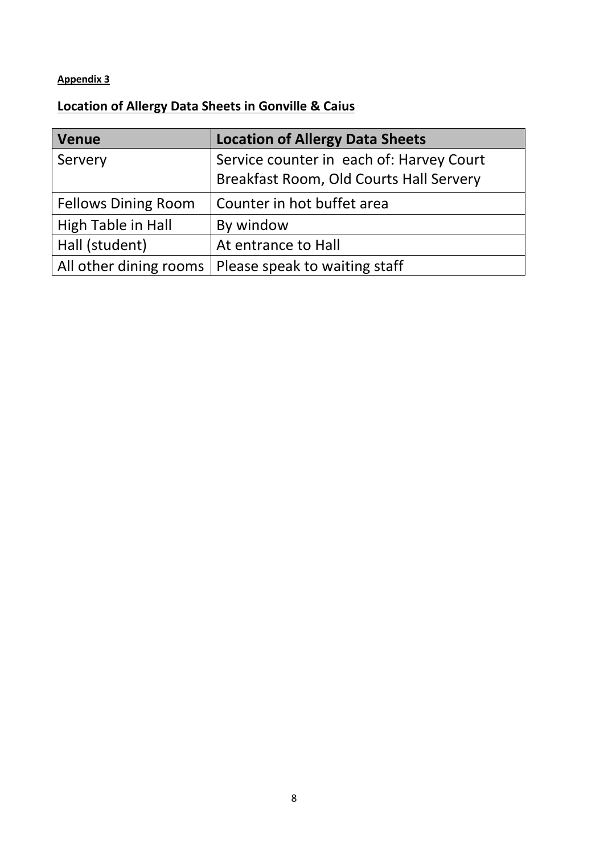# **Location of Allergy Data Sheets in Gonville & Caius**

| <b>Venue</b>               | <b>Location of Allergy Data Sheets</b>   |
|----------------------------|------------------------------------------|
| Servery                    | Service counter in each of: Harvey Court |
|                            | Breakfast Room, Old Courts Hall Servery  |
| <b>Fellows Dining Room</b> | Counter in hot buffet area               |
| High Table in Hall         | By window                                |
| Hall (student)             | At entrance to Hall                      |
| All other dining rooms     | Please speak to waiting staff            |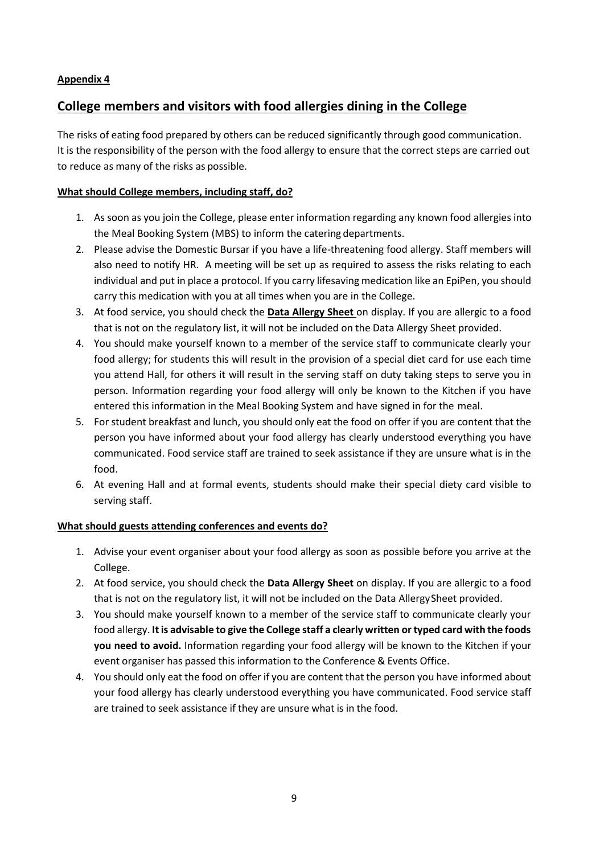# **College members and visitors with food allergies dining in the College**

The risks of eating food prepared by others can be reduced significantly through good communication. It is the responsibility of the person with the food allergy to ensure that the correct steps are carried out to reduce as many of the risks as possible.

# **What should College members, including staff, do?**

- 1. As soon as you join the College, please enter information regarding any known food allergies into the Meal Booking System (MBS) to inform the catering departments.
- 2. Please advise the Domestic Bursar if you have a life-threatening food allergy. Staff members will also need to notify HR. A meeting will be set up as required to assess the risks relating to each individual and put in place a protocol. If you carry lifesaving medication like an EpiPen, you should carry this medication with you at all times when you are in the College.
- 3. At food service, you should check the **Data Allergy Sheet** on display. If you are allergic to a food that is not on the regulatory list, it will not be included on the Data Allergy Sheet provided.
- 4. You should make yourself known to a member of the service staff to communicate clearly your food allergy; for students this will result in the provision of a special diet card for use each time you attend Hall, for others it will result in the serving staff on duty taking steps to serve you in person. Information regarding your food allergy will only be known to the Kitchen if you have entered this information in the Meal Booking System and have signed in for the meal.
- 5. For student breakfast and lunch, you should only eat the food on offer if you are content that the person you have informed about your food allergy has clearly understood everything you have communicated. Food service staff are trained to seek assistance if they are unsure what is in the food.
- 6. At evening Hall and at formal events, students should make their special diety card visible to serving staff.

# **What should guests attending conferences and events do?**

- 1. Advise your event organiser about your food allergy as soon as possible before you arrive at the College.
- 2. At food service, you should check the **Data Allergy Sheet** on display. If you are allergic to a food that is not on the regulatory list, it will not be included on the Data AllergySheet provided.
- 3. You should make yourself known to a member of the service staff to communicate clearly your food allergy. **It is advisable to give the College staff a clearly written or typed card with the foods you need to avoid.** Information regarding your food allergy will be known to the Kitchen if your event organiser has passed this information to the Conference & Events Office.
- 4. You should only eat the food on offer if you are content that the person you have informed about your food allergy has clearly understood everything you have communicated. Food service staff are trained to seek assistance if they are unsure what is in the food.